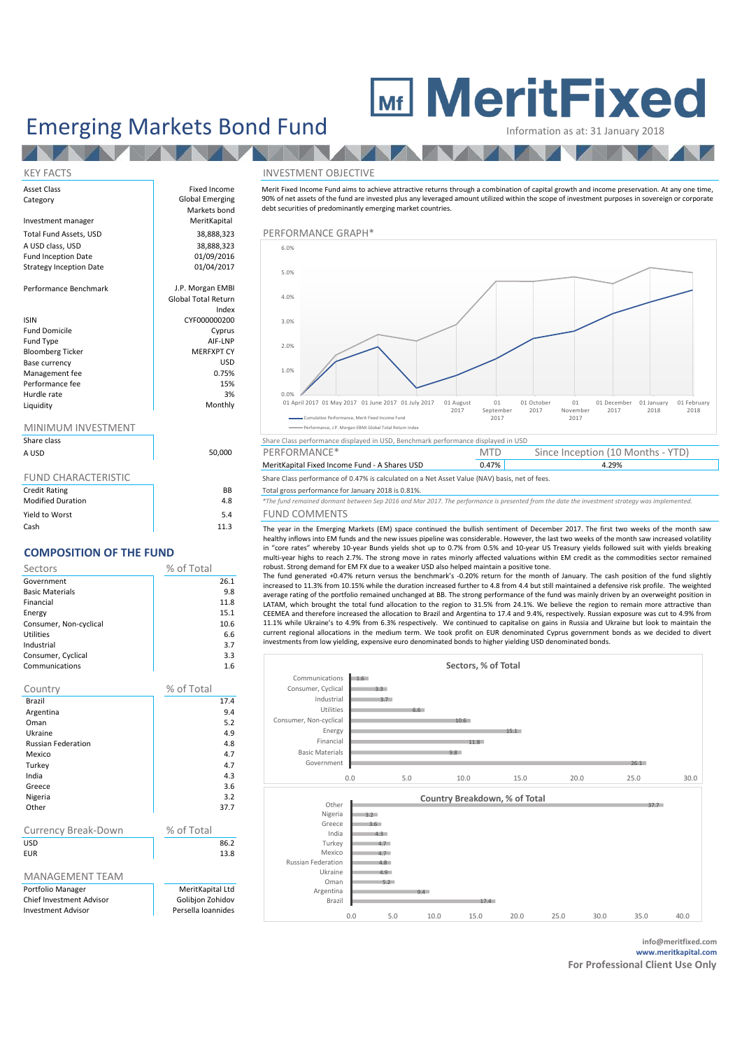# Emerging Markets Bond Fund **Information as at: 31 January 2018**

**AND** 

**TANK** 

**NO** KEY FACTS INVESTMENT OBJECTIVE Asset Class **Fixed Income** Category **Global Emerging** Markets bond Investment manager Total Fund Assets, USD<br>
A USD class, USD 38,888,323 PERFORMANCE GRAPH<sup>\*</sup><br>
38,888,323 A USD class, USD 38,888,323<br>
Fund Inception Date 6 01/09/2016 Fund Inception Date 01/09/2016<br>Strategy Inception Date 01/04/2017 Strategy Inception Date Performance Benchmark J.P. Morgan EMBI Global Total Return Index **ISIN** CYF000000200 Fund Domicile **Cyprus** Fund Type  $\begin{array}{ccc}\n\text{Find } \mathsf{Top} \\
\text{If } \mathsf{Top} \\
\text{If } \mathsf{Top} \\
\text{If } \mathsf{Prop} \\
\text{If } \mathsf{Top} \\
\text{If } \mathsf{Top} \\
\text{If } \mathsf{Top} \\
\text{If } \mathsf{Top} \\
\text{If } \mathsf{Top} \\
\text{If } \mathsf{Top} \\
\text{If } \mathsf{Top} \\
\text{If } \mathsf{Top} \\
\text{If } \mathsf{Top} \\
\text{If } \mathsf{Top} \\
\text{If } \mathsf{Top} \\
\text{If } \mathsf{Top} \\
\text{If } \mathsf{Top}$ Bloomberg Ticker Base currency USD Management fee Performance fee 15% and 15% and 15% and 15% and 15% and 15% and 15% and 15% and 15% and 15% and 15% and 15% and 15% and 15% and 15% and 15% and 15% and 15% and 15% and 15% and 15% and 15% and 15% and 15% and 15% and 15% an Hurdle rate and 3% and 3% and 3% and 3% and 3% and 3% and 3% and 3% and 3% and 3% and 3% and 3% and 3% and 3%  $\sim$  3% and 3% and 3% and 3% and 3% and 3% and 3% and 3% and 3% and 3% and 3% and 3% and 3% and 3% and 3% and 3%

### MINIMUM INVESTMENT *\*The fund remained dormant between Sep 2016 and Mar 2017. The performance is presented from the date the investment strategy was implemented.*

Liquidity

| Share class |      |
|-------------|------|
| A USD       | 50,0 |

| <b>FUND CHARACTERISTIC</b> |
|----------------------------|
|----------------------------|

| <b>Credit Rating</b>     | ΒB   |
|--------------------------|------|
| <b>Modified Duration</b> | 4.8  |
| Yield to Worst           | 5.4  |
| Cash                     | 11.3 |

## **COMPOSITION OF THE FUND**

| Sectors                | % of Total |      |
|------------------------|------------|------|
| Government             |            | 26.1 |
| <b>Basic Materials</b> |            | 9.8  |
| Financial              |            | 11.8 |
| Energy                 |            | 15.1 |
| Consumer, Non-cyclical |            | 10.6 |
| Utilities              |            | 6.6  |
| Industrial             |            | 3.7  |
| Consumer, Cyclical     |            | 3.3  |
| Communications         |            | 1.6  |
|                        |            |      |
| Country                | % of Total |      |
| Brazil                 |            | 17.4 |
|                        |            |      |

| Argentina                       | 9.4                |
|---------------------------------|--------------------|
| Oman                            | 5.2                |
| Ukraine                         | 4.9                |
| <b>Russian Federation</b>       | 4.8                |
| Mexico                          | 4.7                |
| Turkey                          | 4.7                |
| India                           | 4.3                |
| Greece                          | 3.6                |
| Nigeria                         | 3.2                |
| Other                           | 37.7               |
|                                 |                    |
| Currency Break-Down             | % of Total         |
| <b>USD</b>                      | 86.2               |
| <b>EUR</b>                      | 13.8               |
|                                 |                    |
| <b>MANAGEMENT TEAM</b>          |                    |
| Portfolio Manager               | MeritKapital Ltd   |
| <b>Chief Investment Advisor</b> | Golibjon Zohidov   |
| <b>Investment Advisor</b>       | Persella Ioannides |

Merit Fixed Income Fund aims to achieve attractive returns through a combination of capital growth and income preservation. At any one time, 90% of net assets of the fund are invested plus any leveraged amount utilized within the scope of investment purposes in sovereign or corporate debt securities of predominantly emerging market countries.





MeritKapital Fixed Income Fund - A Shares USD 0.47% Share Class performance of 0.47% is calculated on a Net Asset Value (NAV) basis, net of fees.

B Total gross performance for January 2018 is 0.81%.

Modified Duration 4.8 *\*The fund remained dormant between Sep 2016 and Mar 2017. The performance is presented from the date the investment strategy was implemented.* 4 FUND COMMENTS<br>3.3 The way in the Emergian

The year in the Emerging Markets (EM) space continued the bullish sentiment of December 2017. The first two weeks of the month saw healthy inflows into EM funds and the new issues pipeline was considerable. However, the last two weeks of the month saw increased volatility in "core rates" whereby 10-year Bunds yields shot up to 0.7% from 0.5% and 10-year US Treasury yields followed suit with yields breaking multi-year highs to reach 2.7%. The strong move in rates minorly affected valuations within EM credit as the commodities sector remained robust. Strong demand for EM FX due to a weaker USD also helped maintain a positive tone.

The fund generated +0.47% return versus the benchmark's -0.20% return for the month of January. The cash position of the fund slightly increased to 11.3% from 10.15% while the duration increased further to 4.8 from 4.4 but still maintained a defensive risk profile. The weighted average rating of the portfolio remained unchanged at BB. The strong performance of the fund was mainly driven by an overweight position in LATAM, which brought the total fund allocation to the region to 31.5% from 24.1%. We believe the region to remain more attractive than CEEMEA and therefore increased the allocation to Brazil and Argentina to 17.4 and 9.4%, respectively. Russian exposure was cut to 4.9% from 11.1% while Ukraine's to 4.9% from 6.3% respectively. We continued to capitalise on gains in Russia and Ukraine but look to maintain the current regional allocations in the medium term. We took profit on EUR denominated Cyprus government bonds as we decided to divert investments from low yielding, expensive euro denominated bonds to higher yielding USD denominated bonds.



**info@meritfixed.com www.meritkapital.com**

**For Professional Client Use Only**